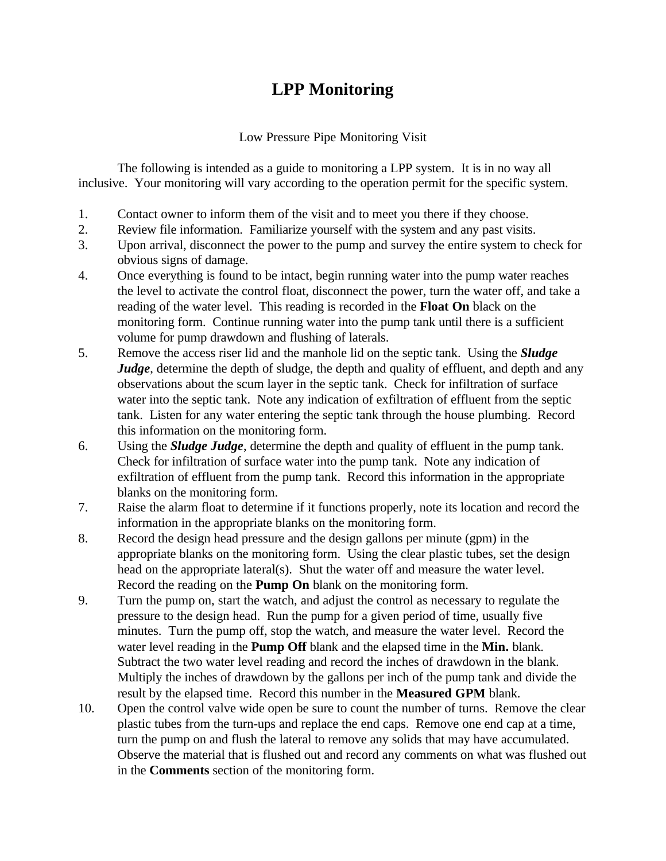## **LPP Monitoring**

## Low Pressure Pipe Monitoring Visit

The following is intended as a guide to monitoring a LPP system. It is in no way all inclusive. Your monitoring will vary according to the operation permit for the specific system.

- 1. Contact owner to inform them of the visit and to meet you there if they choose.
- 2. Review file information. Familiarize yourself with the system and any past visits.
- 3. Upon arrival, disconnect the power to the pump and survey the entire system to check for obvious signs of damage.
- 4. Once everything is found to be intact, begin running water into the pump water reaches the level to activate the control float, disconnect the power, turn the water off, and take a reading of the water level. This reading is recorded in the **Float On** black on the monitoring form. Continue running water into the pump tank until there is a sufficient volume for pump drawdown and flushing of laterals.
- 5. Remove the access riser lid and the manhole lid on the septic tank. Using the *Sludge Judge*, determine the depth of sludge, the depth and quality of effluent, and depth and any observations about the scum layer in the septic tank. Check for infiltration of surface water into the septic tank. Note any indication of exfiltration of effluent from the septic tank. Listen for any water entering the septic tank through the house plumbing. Record this information on the monitoring form.
- 6. Using the *Sludge Judge*, determine the depth and quality of effluent in the pump tank. Check for infiltration of surface water into the pump tank. Note any indication of exfiltration of effluent from the pump tank. Record this information in the appropriate blanks on the monitoring form.
- 7. Raise the alarm float to determine if it functions properly, note its location and record the information in the appropriate blanks on the monitoring form.
- 8. Record the design head pressure and the design gallons per minute (gpm) in the appropriate blanks on the monitoring form. Using the clear plastic tubes, set the design head on the appropriate lateral(s). Shut the water off and measure the water level. Record the reading on the **Pump On** blank on the monitoring form.
- 9. Turn the pump on, start the watch, and adjust the control as necessary to regulate the pressure to the design head. Run the pump for a given period of time, usually five minutes. Turn the pump off, stop the watch, and measure the water level. Record the water level reading in the **Pump Off** blank and the elapsed time in the **Min.** blank. Subtract the two water level reading and record the inches of drawdown in the blank. Multiply the inches of drawdown by the gallons per inch of the pump tank and divide the result by the elapsed time. Record this number in the **Measured GPM** blank.
- 10. Open the control valve wide open be sure to count the number of turns. Remove the clear plastic tubes from the turn-ups and replace the end caps. Remove one end cap at a time, turn the pump on and flush the lateral to remove any solids that may have accumulated. Observe the material that is flushed out and record any comments on what was flushed out in the **Comments** section of the monitoring form.